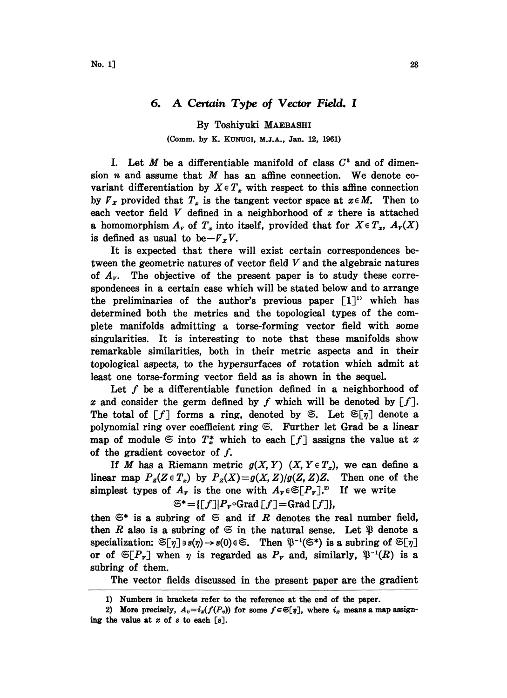## 6. A Certain Type of Vector Field. I

By Toshiyuki MAEBASHI (Comm. by K. KUNUCI, M.J.A., Jan. 12, 1961)

I. Let  $M$  be a differentiable manifold of class  $C^3$  and of dimension  $n$  and assume that  $M$  has an affine connection. We denote covariant differentiation by  $X \in T_x$  with respect to this affine connection by  $\overline{V}_x$  provided that  $T_x$  is the tangent vector space at  $x \in M$ . Then to each vector field  $V$  defined in a neighborhood of  $x$  there is attached a homomorphism  $A<sub>r</sub>$  of  $T<sub>x</sub>$  into itself, provided that for  $X \in T<sub>x</sub>$ ,  $A<sub>r</sub>(X)$ is defined as usual to be $-F_{x}V$ .

It is expected that there will exist certain correspondences between the geometric natures of vector field V and the algebraic natures of  $A<sub>r</sub>$ . The objective of the present paper is to study these correspondences in a certain case which will be stated below and to arrange the preliminaries of the author's previous paper [1]<sup>1</sup> which has determined both the metrics and the topological types of the complete manifolds admitting a torse-forming vector field with some singularities. It is interesting to note that these manifolds show remarkable similarities, both in their metric aspects and in their topological aspects, to the hypersurfaces of rotation which admit at least one torse-forming vector field as is shown in the sequel.

Let  $f$  be a differentiable function defined in a neighborhood of x and consider the germ defined by f which will be denoted by  $\lceil f \rceil$ . The total of  $[f]$  forms a ring, denoted by  $\mathfrak{S}$ . Let  $\mathfrak{S}[\eta]$  denote a polynomial ring over coefficient ring  $\mathfrak{S}$ . Further let Grad be a linear map of module  $\mathfrak{S}$  into  $T^*$  which to each  $\lceil f \rceil$  assigns the value at x of the gradient covector of  $f$ .

If M has a Riemann metric  $g(X, Y)$   $(X, Y \in T_x)$ , we can define a<br>ar map  $P_g(Z \in T_x)$  by  $P_g(X) = g(X, Z)/g(Z, Z)Z$ . Then one of the linear map  $P_{z}(Z \in T_{z})$  by  $P_{z}(X)=g(X, Z)/g(Z, Z)Z$ . simplest types of  $A_r$  is the one with  $A_r \in \mathfrak{S}[P_r]$ . If we write  $\mathfrak{S}^*=[[f] | P_r \circ Grad[f] = Grad[f]),$ 

then  $\mathfrak{S}^*$  is a subring of  $\mathfrak{S}$  and if R denotes the real number field, then R also is a subring of  $\mathfrak{S}$  in the natural sense. Let  $\mathfrak{P}$  denote a specialization:  $\mathfrak{S}[\eta] \ni s(\eta) \to s(0) \in \mathfrak{S}$ . Then  $\mathfrak{P}^{-1}(\mathfrak{S}^*)$  is a subring of  $\mathfrak{S}[\eta]$ or of  $\mathfrak{S}[P_r]$  when  $\eta$  is regarded as  $P_r$  and, similarly,  $\mathfrak{P}^{-1}(R)$  is a subring of them.

The vector fields discussed in the present paper are the gradient

<sup>1)</sup> Numbers in brackets refer to the reference at the end of the paper.

<sup>2)</sup> More precisely,  $A_v = i_x(f(P_v))$  for some  $f \in \mathfrak{S}[\eta]$ , where  $i_x$  means a map assigning the value at  $x$  of  $s$  to each  $[s]$ .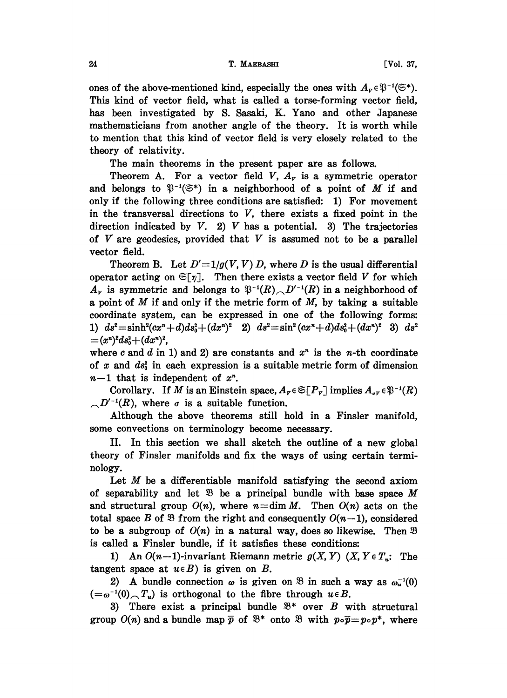ones of the above-mentioned kind, especially the ones with  $A_v \in \mathfrak{P}^{-1}(\mathfrak{S}^*)$ . This kind of vector field, what is called a torse-forming vector field, has been investigated by S. Sasaki, K. Yano and other Japanese mathematicians from another angle of the theory. It is worth while to mention that this kind of vector field is very closely related to the theory of relativity.

The main theorems in the present paper are as follows.

Theorem A. For a vector field  $V$ ,  $A<sub>r</sub>$  is a symmetric operator and belongs to  $\mathfrak{P}^{-1}(\mathfrak{S}^*)$  in a neighborhood of a point of M if and only if the following three conditions are satisfied: 1) For movement in the transversal directions to  $V$ , there exists a fixed point in the direction indicated by  $V$ . 2)  $V$  has a potential. 3) The trajectories of  $V$  are geodesics, provided that  $V$  is assumed not to be a parallel vector field.

Theorem B. Let  $D'=1/g(V, V) D$ , where D is the usual differential operator acting on  $\mathfrak{S}[\eta]$ . Then there exists a vector field V for which  $A<sub>r</sub>$  is symmetric and belongs to  $\mathfrak{P}^{-1}(R) \cap D'^{-1}(R)$  in a neighborhood of a point of  $M$  if and only if the metric form of  $M$ , by taking a suitable coordinate system, can be expressed in one of the following forms: 1)  $ds^2 = \sinh^2(cx^n + d)ds_0^2 + (dx^n)^2$  2)  $ds^2 = \sin^2(cx^n + d)ds_0^2 + (dx^n)^2$  3)  $ds^2$  $=(x^n)^2ds_0^2+(dx^n)^2,$ 

where c and d in 1) and 2) are constants and  $x<sup>n</sup>$  is the *n*-th coordinate of x and  $ds_0^2$  in each expression is a suitable metric form of dimension  $n-1$  that is independent of  $x^n$ .

Corollary. If M is an Einstein space,  $A_r \in \mathfrak{S}[P_r]$  implies  $A_{\sigma r} \in \mathfrak{P}^{-1}(R)$  $\bigcirc D'^{-1}(R)$ , where  $\sigma$  is a suitable function.

Although the above theorems still hold in a Finsler manifold, some convections on terminology become necessary.

II. In this section we shall sketch the outline of a new global theory of Finsler manifolds and fix the ways of using certain terminology.

Let  $M$  be a differentiable manifold satisfying the second axiom of separability and let  $\mathcal{B}$  be a principal bundle with base space M and structural group  $O(n)$ , where  $n=\dim M$ . Then  $O(n)$  acts on the total space B of  $\mathfrak{B}$  from the right and consequently  $O(n-1)$ , considered to be a subgroup of  $O(n)$  in a natural way, does so likewise. Then  $\mathfrak B$ is called a Finsler bundle, if it satisfies these conditions:

1) An  $O(n-1)$ -invariant Riemann metric  $g(X, Y)$   $(X, Y \in T_n)$ . The tangent space at  $u \in B$ ) is given on B.

2) A bundle connection  $\omega$  is given on  $\mathfrak{B}$  in such a way as  $\omega_n^{-1}(0)$  $(-\omega^{-1}(0), T_u)$  is orthogonal to the fibre through  $u \in B$ .

3) There exist a principal bundle  $\mathfrak{B}^*$  over B with structural group  $O(n)$  and a bundle map  $\bar{p}$  of  $\mathcal{B}^*$  onto  $\mathcal{B}$  with  $p \circ \bar{p} = p \circ p^*$ , where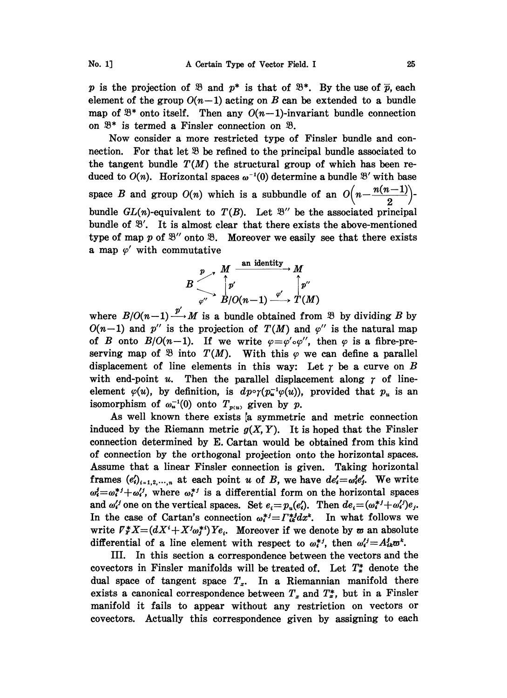p is the projection of  $\mathfrak{B}$  and  $p^*$  is that of  $\mathfrak{B}^*$ . By the use of  $\overline{p}$ , each element of the group  $O(n-1)$  acting on B can be extended to a bundle map of  $\mathfrak{B}^*$  onto itself. Then any  $O(n-1)$ -invariant bundle connection on  $\mathfrak{B}^*$  is termed a Finsler connection on  $\mathfrak{B}$ .

Now consider a more restricted type of Finsler bundle and connection. For that let  $\mathfrak{B}$  be refined to the principal bundle associated to the tangent bundle  $T(M)$  the structural group of which has been reduced to  $O(n)$ . Horizontal spaces  $\omega^{-1}(0)$  determine a bundle  $\mathfrak{B}'$  with base space B and group  $O(n)$  which is a subbundle of an  $O\left(n-\frac{n(n-1)}{2}\right)$ bundle  $GL(n)$ -equivalent to  $T(B)$ . Let  $\mathcal{B}''$  be the associated principal bundle of  $\mathcal{B}'$ . It is almost clear that there exists the above-mentioned bundle  $GL(n)$ -equivalent to  $T(B)$ . Let  $\mathcal{B}''$  be the associated principal type of map  $p$  of  $\mathfrak{B}''$  onto  $\mathfrak{B}$ .<br>a map  $\varphi'$  with commutative type of map p of  $\mathfrak{B}''$  onto  $\mathfrak{B}$ . Moreover we easily see that there exists

$$
B\begin{array}{c}\np\to M\xrightarrow{\text{an identity}} M \\
\downarrow p' \\
\downarrow q''\end{array}\n\bigcap_{p''}^{A'}\n\begin{array}{c}\n\downarrow p' \\
\downarrow p' \\
\downarrow q''\end{array}\n\bigcap_{p''}\n\begin{array}{c}\n\downarrow p' \\
\downarrow p''\end{array}
$$

where  $B/O(n-1) \xrightarrow{p'} M$  is a bundle obtained from  $\mathcal{B}$  by dividing B by  $O(n-1)$  and  $p''$  is the projection of  $T(M)$  and  $\varphi''$  is the natural map<br>of B onto  $B/O(n-1)$ . If we write  $\varphi = \varphi' \circ \varphi''$ , then  $\varphi$  is a fibre-pre- $O(n-1)$  and p'' is the projection of  $T(M)$  and  $\varphi$ '' is the natural map serving map of  $\mathfrak{B}$  into  $T(M)$ . With this  $\varphi$  we can define a parallel displacement of line elements in this way: Let  $\gamma$  be a curve on B with end-point  $u$ . Then the parallel displacement along  $\gamma$  of lineelement  $\varphi(u)$ , by definition, is  $dp \circ \gamma(p_u^{-1} \varphi(u))$ , provided that  $p_u$  is an isomorphism of  $\omega_{\mathbf{u}}^{-1}(0)$  onto  $T_{p(u)}$  given by p.

As well known there exists [a symmetric and metric connection induced by the Riemann metric  $g(X, Y)$ . It is hoped that the Finsler connection determined by E. Cartan would be obtained from this kind of connection by the orthogonal projection onto the horizontal spaces. Assume that a linear Finsler connection is given. Taking horizontal frames  $(e_i')_{i=1,2,\dots,n}$  at each point u of B, we have  $de_i'=\omega_i'e_j'$ . We write  $\omega_i^j = \omega_i^{*j} + \omega_i^{j}$ , where  $\omega_i^{*j}$  is a differential form on the horizontal spaces and  $\omega_i'$  one on the vertical spaces. Set  $e_i = p_n(e_i')$ . Then  $de_i = (\omega_i^{*j} + \omega_i')e_j$ . In the case of Cartan's connection  $\omega_i^{*j} = \Gamma_{ik}^{*j} dx^k$ . In what follows we write  $V^*X=(dX^i+X^j\omega_j^{*i})Ye_i$ . Moreover if we denote by  $\omega$  an absolute differential of a line element with respect to  $\omega_i^{*j}$ , then  $\omega_i^{j} = A_{ik}^{j} \omega^k$ .

III. In this section a correspondence between the vectors and the covectors in Finsler manifolds will be treated of. Let  $T_*^*$  denote the dual space of tangent space  $T<sub>x</sub>$ . In a Riemannian manifold there exists a canonical correspondence between  $T_x$  and  $T_x^*$ , but in a Finsler manifold it fails to appear without any restriction on vectors or covectors. Actually this correspondence given by assigning to each